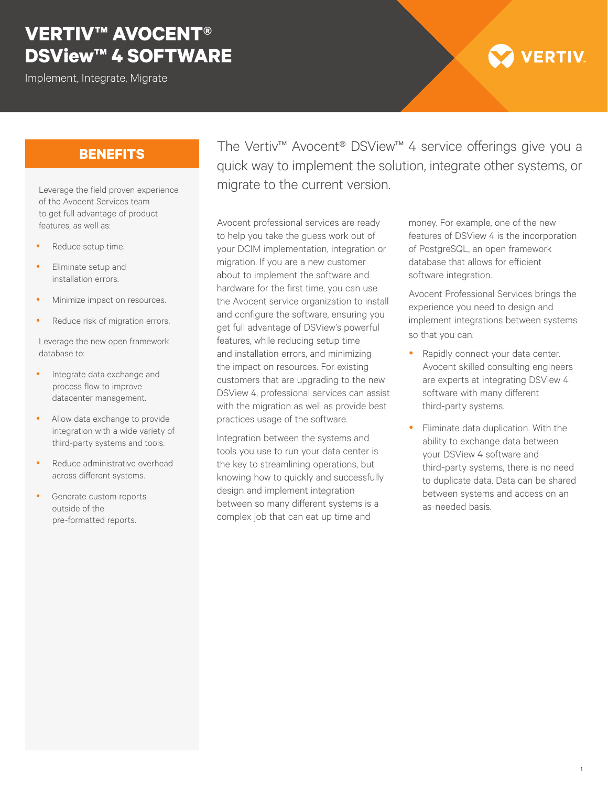## **VERTIV™ AVOCENT® DSView™ 4 SOFTWARE**

Implement, Integrate, Migrate

# **VERTIV**

## **BENEFITS**

Leverage the field proven experience of the Avocent Services team to get full advantage of product features, as well as:

- Reduce setup time.
- Eliminate setup and installation errors.
- Minimize impact on resources.
- Reduce risk of migration errors.

Leverage the new open framework database to:

- Integrate data exchange and process flow to improve datacenter management.
- Allow data exchange to provide integration with a wide variety of third-party systems and tools.
- Reduce administrative overhead across different systems.
- Generate custom reports outside of the pre-formatted reports.

The Vertiv™ Avocent® DSView™ 4 service offerings give you a quick way to implement the solution, integrate other systems, or migrate to the current version.

Avocent professional services are ready to help you take the guess work out of your DCIM implementation, integration or migration. If you are a new customer about to implement the software and hardware for the first time, you can use the Avocent service organization to install and configure the software, ensuring you get full advantage of DSView's powerful features, while reducing setup time and installation errors, and minimizing the impact on resources. For existing customers that are upgrading to the new DSView 4, professional services can assist with the migration as well as provide best practices usage of the software.

Integration between the systems and tools you use to run your data center is the key to streamlining operations, but knowing how to quickly and successfully design and implement integration between so many different systems is a complex job that can eat up time and

money. For example, one of the new features of DSView 4 is the incorporation of PostgreSQL, an open framework database that allows for efficient software integration.

Avocent Professional Services brings the experience you need to design and implement integrations between systems so that you can:

- Rapidly connect your data center. Avocent skilled consulting engineers are experts at integrating DSView 4 software with many different third-party systems.
- Eliminate data duplication. With the ability to exchange data between your DSView 4 software and third-party systems, there is no need to duplicate data. Data can be shared between systems and access on an as-needed basis.

1